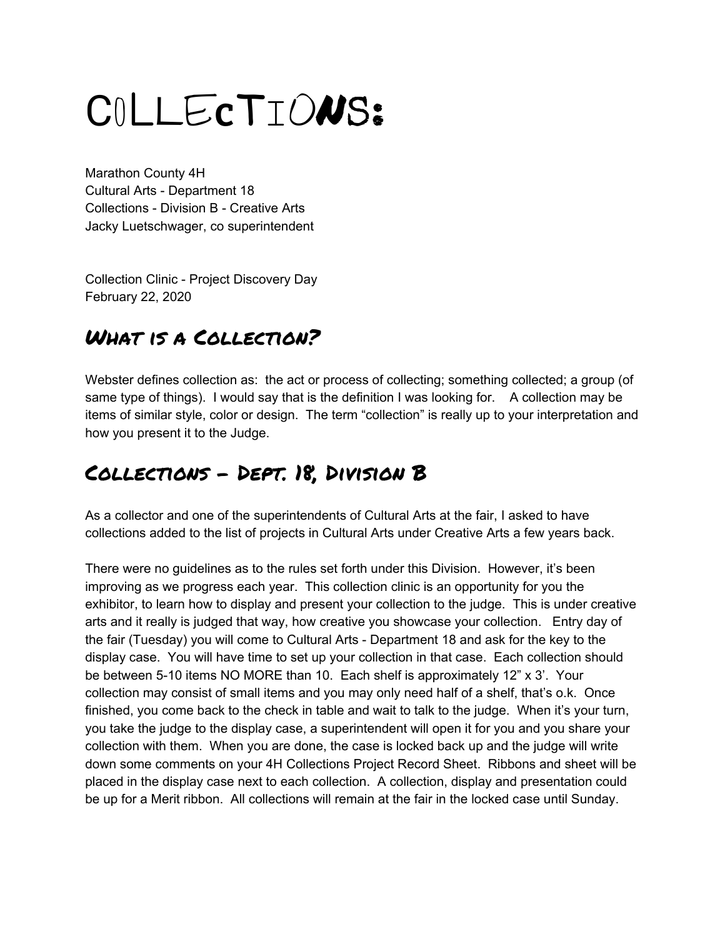# CoLLEcTIONS:

Marathon County 4H Cultural Arts - Department 18 Collections - Division B - Creative Arts Jacky Luetschwager, co superintendent

Collection Clinic - Project Discovery Day February 22, 2020

# What is a Collection?

Webster defines collection as: the act or process of collecting; something collected; a group (of same type of things). I would say that is the definition I was looking for. A collection may be items of similar style, color or design. The term "collection" is really up to your interpretation and how you present it to the Judge.

# Collections - Dept. 18, Division B

As a collector and one of the superintendents of Cultural Arts at the fair, I asked to have collections added to the list of projects in Cultural Arts under Creative Arts a few years back.

There were no guidelines as to the rules set forth under this Division. However, it's been improving as we progress each year. This collection clinic is an opportunity for you the exhibitor, to learn how to display and present your collection to the judge. This is under creative arts and it really is judged that way, how creative you showcase your collection. Entry day of the fair (Tuesday) you will come to Cultural Arts - Department 18 and ask for the key to the display case. You will have time to set up your collection in that case. Each collection should be between 5-10 items NO MORE than 10. Each shelf is approximately 12" x 3'. Your collection may consist of small items and you may only need half of a shelf, that's o.k. Once finished, you come back to the check in table and wait to talk to the judge. When it's your turn, you take the judge to the display case, a superintendent will open it for you and you share your collection with them. When you are done, the case is locked back up and the judge will write down some comments on your 4H Collections Project Record Sheet. Ribbons and sheet will be placed in the display case next to each collection. A collection, display and presentation could be up for a Merit ribbon. All collections will remain at the fair in the locked case until Sunday.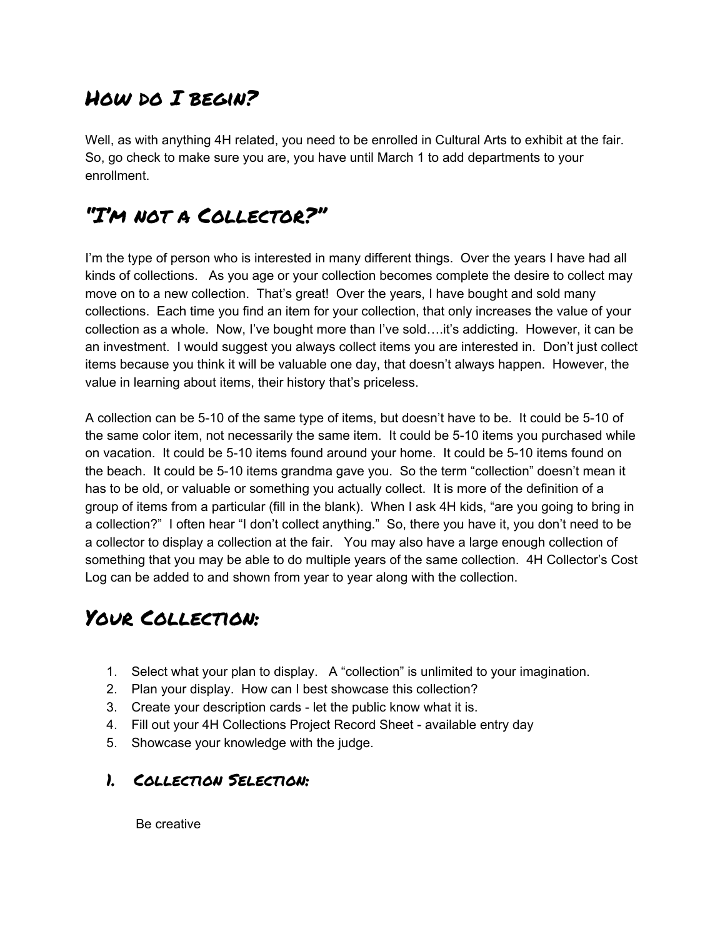## HOW DO I BEGIN?

Well, as with anything 4H related, you need to be enrolled in Cultural Arts to exhibit at the fair. So, go check to make sure you are, you have until March 1 to add departments to your enrollment.

## "I'm not a Collector?"

I'm the type of person who is interested in many different things. Over the years I have had all kinds of collections. As you age or your collection becomes complete the desire to collect may move on to a new collection. That's great! Over the years, I have bought and sold many collections. Each time you find an item for your collection, that only increases the value of your collection as a whole. Now, I've bought more than I've sold….it's addicting. However, it can be an investment. I would suggest you always collect items you are interested in. Don't just collect items because you think it will be valuable one day, that doesn't always happen. However, the value in learning about items, their history that's priceless.

A collection can be 5-10 of the same type of items, but doesn't have to be. It could be 5-10 of the same color item, not necessarily the same item. It could be 5-10 items you purchased while on vacation. It could be 5-10 items found around your home. It could be 5-10 items found on the beach. It could be 5-10 items grandma gave you. So the term "collection" doesn't mean it has to be old, or valuable or something you actually collect. It is more of the definition of a group of items from a particular (fill in the blank). When I ask 4H kids, "are you going to bring in a collection?" I often hear "I don't collect anything." So, there you have it, you don't need to be a collector to display a collection at the fair. You may also have a large enough collection of something that you may be able to do multiple years of the same collection. 4H Collector's Cost Log can be added to and shown from year to year along with the collection.

# Your Collection:

- 1. Select what your plan to display. A "collection" is unlimited to your imagination.
- 2. Plan your display. How can I best showcase this collection?
- 3. Create your description cards let the public know what it is.
- 4. Fill out your 4H Collections Project Record Sheet available entry day
- 5. Showcase your knowledge with the judge.

#### 1. Collection Selection:

Be creative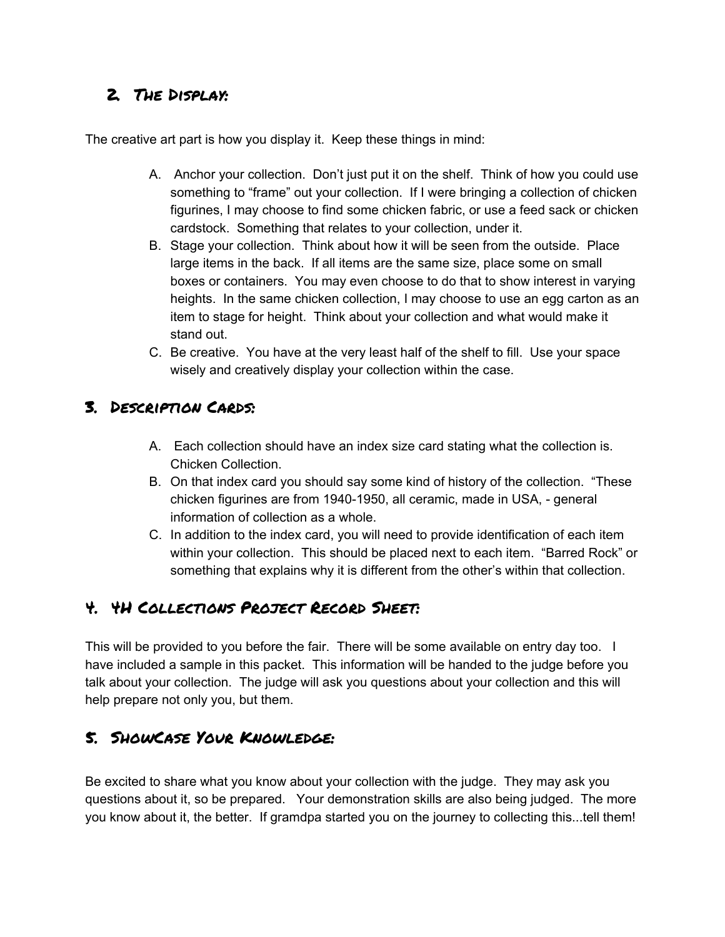## 2. The Display:

The creative art part is how you display it. Keep these things in mind:

- A. Anchor your collection. Don't just put it on the shelf. Think of how you could use something to "frame" out your collection. If I were bringing a collection of chicken figurines, I may choose to find some chicken fabric, or use a feed sack or chicken cardstock. Something that relates to your collection, under it.
- B. Stage your collection. Think about how it will be seen from the outside. Place large items in the back. If all items are the same size, place some on small boxes or containers. You may even choose to do that to show interest in varying heights. In the same chicken collection, I may choose to use an egg carton as an item to stage for height. Think about your collection and what would make it stand out.
- C. Be creative. You have at the very least half of the shelf to fill. Use your space wisely and creatively display your collection within the case.

### 3. Description Cards:

- A. Each collection should have an index size card stating what the collection is. Chicken Collection.
- B. On that index card you should say some kind of history of the collection. "These chicken figurines are from 1940-1950, all ceramic, made in USA, - general information of collection as a whole.
- C. In addition to the index card, you will need to provide identification of each item within your collection. This should be placed next to each item. "Barred Rock" or something that explains why it is different from the other's within that collection.

## 4. 4H Collections Project Record Sheet:

This will be provided to you before the fair. There will be some available on entry day too. I have included a sample in this packet. This information will be handed to the judge before you talk about your collection. The judge will ask you questions about your collection and this will help prepare not only you, but them.

## 5. ShowCase Your Knowledge:

Be excited to share what you know about your collection with the judge. They may ask you questions about it, so be prepared. Your demonstration skills are also being judged. The more you know about it, the better. If gramdpa started you on the journey to collecting this...tell them!